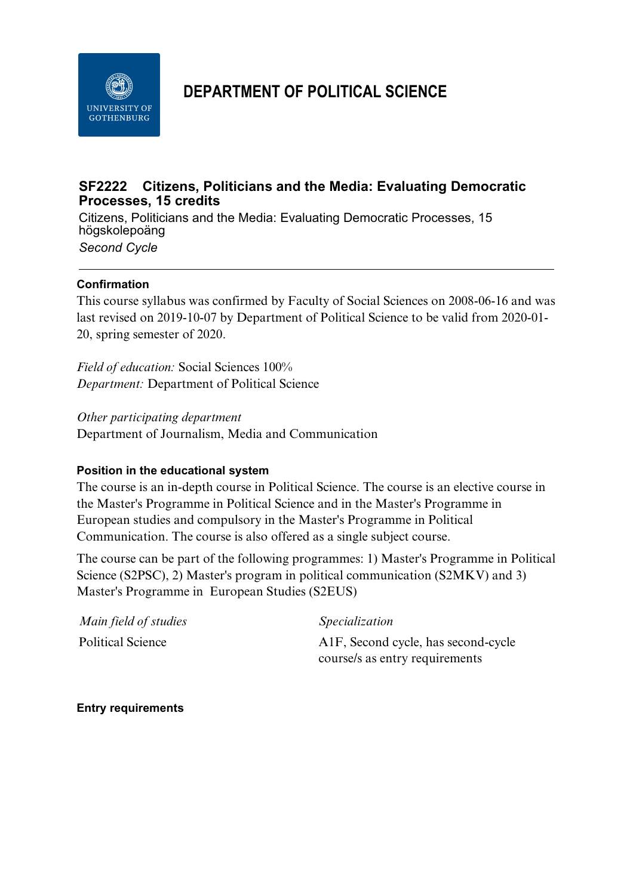

# **DEPARTMENT OF POLITICAL SCIENCE**

## **SF2222 Citizens, Politicians and the Media: Evaluating Democratic Processes, 15 credits**

Citizens, Politicians and the Media: Evaluating Democratic Processes, 15 högskolepoäng *Second Cycle*

#### **Confirmation**

This course syllabus was confirmed by Faculty of Social Sciences on 2008-06-16 and was last revised on 2019-10-07 by Department of Political Science to be valid from 2020-01- 20, spring semester of 2020.

*Field of education:* Social Sciences 100% *Department:* Department of Political Science

*Other participating department* Department of Journalism, Media and Communication

#### **Position in the educational system**

The course is an in-depth course in Political Science. The course is an elective course in the Master's Programme in Political Science and in the Master's Programme in European studies and compulsory in the Master's Programme in Political Communication. The course is also offered as a single subject course.

The course can be part of the following programmes: 1) Master's Programme in Political Science (S2PSC), 2) Master's program in political communication (S2MKV) and 3) Master's Programme in European Studies (S2EUS)

| Main field of studies | <i>Specialization</i>                            |
|-----------------------|--------------------------------------------------|
| Political Science     | A <sub>1</sub> F, Second cycle, has second-cycle |
|                       | course/s as entry requirements                   |

**Entry requirements**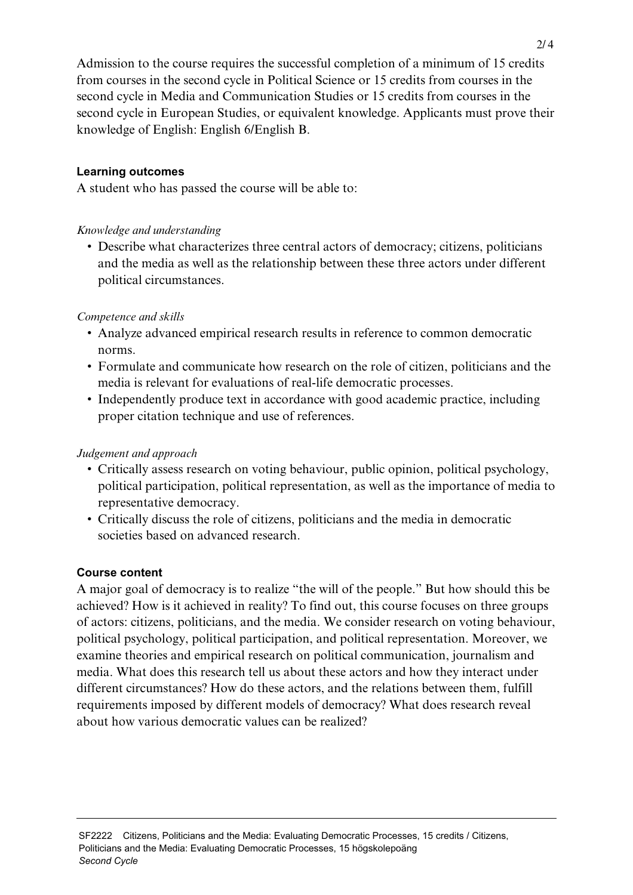Admission to the course requires the successful completion of a minimum of 15 credits from courses in the second cycle in Political Science or 15 credits from courses in the second cycle in Media and Communication Studies or 15 credits from courses in the second cycle in European Studies, or equivalent knowledge. Applicants must prove their knowledge of English: English 6/English B.

#### **Learning outcomes**

A student who has passed the course will be able to:

#### *Knowledge and understanding*

• Describe what characterizes three central actors of democracy; citizens, politicians and the media as well as the relationship between these three actors under different political circumstances.

### *Competence and skills*

- Analyze advanced empirical research results in reference to common democratic norms.
- Formulate and communicate how research on the role of citizen, politicians and the media is relevant for evaluations of real-life democratic processes.
- Independently produce text in accordance with good academic practice, including proper citation technique and use of references.

#### *Judgement and approach*

- Critically assess research on voting behaviour, public opinion, political psychology, political participation, political representation, as well as the importance of media to representative democracy.
- Critically discuss the role of citizens, politicians and the media in democratic societies based on advanced research.

#### **Course content**

A major goal of democracy is to realize "the will of the people." But how should this be achieved? How is it achieved in reality? To find out, this course focuses on three groups of actors: citizens, politicians, and the media. We consider research on voting behaviour, political psychology, political participation, and political representation. Moreover, we examine theories and empirical research on political communication, journalism and media. What does this research tell us about these actors and how they interact under different circumstances? How do these actors, and the relations between them, fulfill requirements imposed by different models of democracy? What does research reveal about how various democratic values can be realized?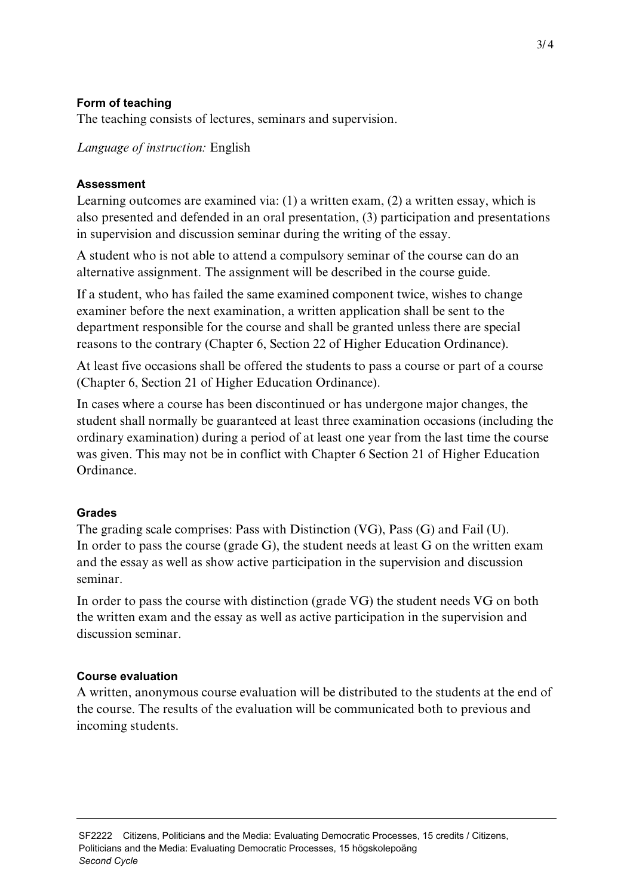### **Form of teaching**

The teaching consists of lectures, seminars and supervision.

*Language of instruction:* English

### **Assessment**

Learning outcomes are examined via: (1) a written exam, (2) a written essay, which is also presented and defended in an oral presentation, (3) participation and presentations in supervision and discussion seminar during the writing of the essay.

A student who is not able to attend a compulsory seminar of the course can do an alternative assignment. The assignment will be described in the course guide.

If a student, who has failed the same examined component twice, wishes to change examiner before the next examination, a written application shall be sent to the department responsible for the course and shall be granted unless there are special reasons to the contrary (Chapter 6, Section 22 of Higher Education Ordinance).

At least five occasions shall be offered the students to pass a course or part of a course (Chapter 6, Section 21 of Higher Education Ordinance).

In cases where a course has been discontinued or has undergone major changes, the student shall normally be guaranteed at least three examination occasions (including the ordinary examination) during a period of at least one year from the last time the course was given. This may not be in conflict with Chapter 6 Section 21 of Higher Education Ordinance.

#### **Grades**

The grading scale comprises: Pass with Distinction (VG), Pass (G) and Fail (U). In order to pass the course (grade G), the student needs at least G on the written exam and the essay as well as show active participation in the supervision and discussion seminar.

In order to pass the course with distinction (grade VG) the student needs VG on both the written exam and the essay as well as active participation in the supervision and discussion seminar.

#### **Course evaluation**

A written, anonymous course evaluation will be distributed to the students at the end of the course. The results of the evaluation will be communicated both to previous and incoming students.